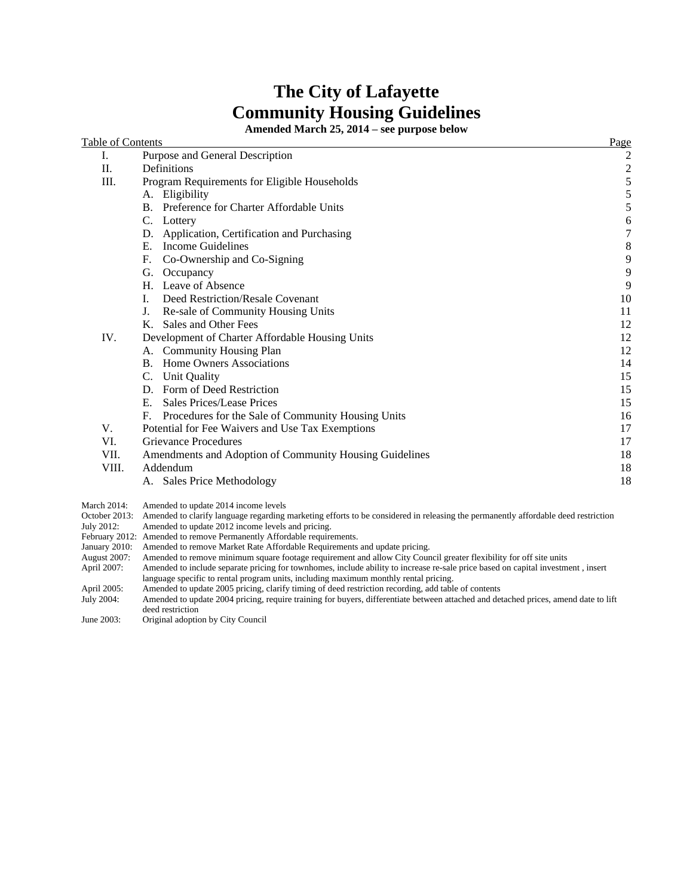# **The City of Lafayette Community Housing Guidelines**

**Amended March 25, 2014 – see purpose below**

| Table of Contents |                                                          | Page                    |
|-------------------|----------------------------------------------------------|-------------------------|
| Ι.                | Purpose and General Description                          | 2                       |
| Π.                | <b>Definitions</b>                                       | $\overline{\mathbf{c}}$ |
| III.              | Program Requirements for Eligible Households             | $\frac{5}{5}$           |
|                   | A. Eligibility                                           |                         |
|                   | Preference for Charter Affordable Units<br>B.            | 5                       |
|                   | C. Lottery                                               | 6                       |
|                   | Application, Certification and Purchasing<br>D.          | $\boldsymbol{7}$        |
|                   | <b>Income Guidelines</b><br>Е.                           | $\,8\,$                 |
|                   | F.<br>Co-Ownership and Co-Signing                        | $\mathbf{9}$            |
|                   | G.<br>Occupancy                                          | $\overline{9}$          |
|                   | H. Leave of Absence                                      | 9                       |
|                   | Deed Restriction/Resale Covenant<br>I.                   | 10                      |
|                   | J.<br>Re-sale of Community Housing Units                 | 11                      |
|                   | Sales and Other Fees<br>K.                               | 12                      |
| IV.               | Development of Charter Affordable Housing Units          | 12                      |
|                   | A. Community Housing Plan                                | 12                      |
|                   | Home Owners Associations<br>B.                           | 14                      |
|                   | C. Unit Quality                                          | 15                      |
|                   | D. Form of Deed Restriction                              | 15                      |
|                   | Sales Prices/Lease Prices<br>Е.                          | 15                      |
|                   | Procedures for the Sale of Community Housing Units<br>F. | 16                      |
| V.                | Potential for Fee Waivers and Use Tax Exemptions         | 17                      |
| VI.               | <b>Grievance Procedures</b>                              | 17                      |
| VII.              | Amendments and Adoption of Community Housing Guidelines  | 18                      |
| VIII.             | Addendum                                                 | 18                      |
|                   | A. Sales Price Methodology                               | 18                      |
|                   |                                                          |                         |

March 2014: Amended to update 2014 income levels

October 2013: Amended to clarify language regarding marketing efforts to be considered in releasing the permanently affordable deed restriction July 2012: Amended to update 2012 income levels and pricing.

Amended to update 2012 income levels and pricing.

February 2012: Amended to remove Permanently Affordable requirements. January 2010: Amended to remove Market Rate Affordable Requirements and update pricing.

August 2007: Amended to remove minimum square footage requirement and allow City Council greater flexibility for off site units April 2007: Amended to include separate pricing for townhomes, include ability to increase re-Amended to include separate pricing for townhomes, include ability to increase re-sale price based on capital investment , insert language specific to rental program units, including maximum monthly rental pricing.

April 2005: Amended to update 2005 pricing, clarify timing of deed restriction recording, add table of contents

July 2004: Amended to update 2004 pricing, require training for buyers, differentiate between attached and detached prices, amend date to lift deed restriction

June 2003: Original adoption by City Council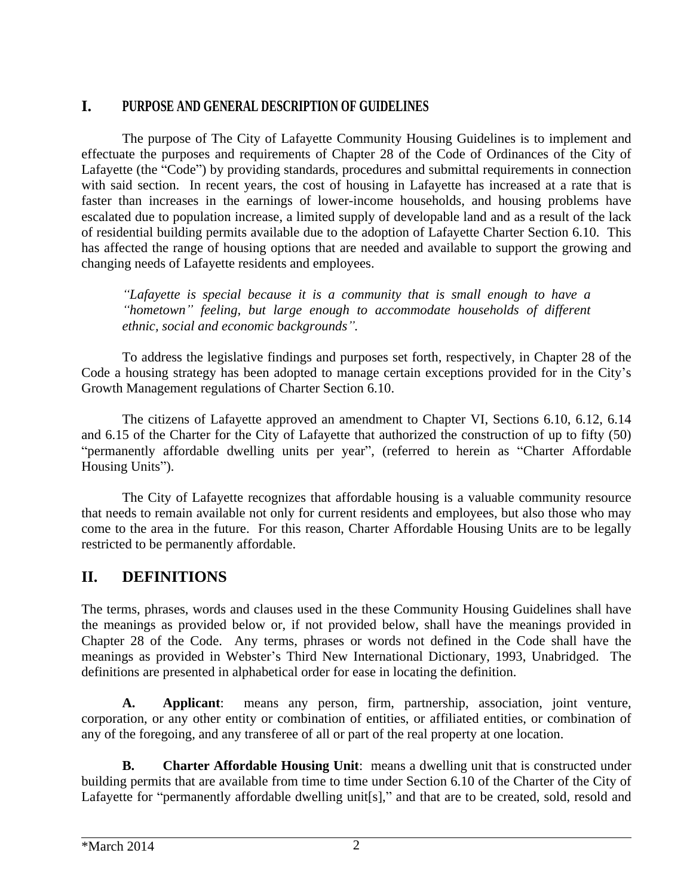# **I. PURPOSE AND GENERAL DESCRIPTION OF GUIDELINES**

The purpose of The City of Lafayette Community Housing Guidelines is to implement and effectuate the purposes and requirements of Chapter 28 of the Code of Ordinances of the City of Lafayette (the "Code") by providing standards, procedures and submittal requirements in connection with said section. In recent years, the cost of housing in Lafayette has increased at a rate that is faster than increases in the earnings of lower-income households, and housing problems have escalated due to population increase, a limited supply of developable land and as a result of the lack of residential building permits available due to the adoption of Lafayette Charter Section 6.10. This has affected the range of housing options that are needed and available to support the growing and changing needs of Lafayette residents and employees.

*"Lafayette is special because it is a community that is small enough to have a "hometown" feeling, but large enough to accommodate households of different ethnic, social and economic backgrounds".* 

To address the legislative findings and purposes set forth, respectively, in Chapter 28 of the Code a housing strategy has been adopted to manage certain exceptions provided for in the City's Growth Management regulations of Charter Section 6.10.

The citizens of Lafayette approved an amendment to Chapter VI, Sections 6.10, 6.12, 6.14 and 6.15 of the Charter for the City of Lafayette that authorized the construction of up to fifty (50) "permanently affordable dwelling units per year", (referred to herein as "Charter Affordable Housing Units").

The City of Lafayette recognizes that affordable housing is a valuable community resource that needs to remain available not only for current residents and employees, but also those who may come to the area in the future. For this reason, Charter Affordable Housing Units are to be legally restricted to be permanently affordable.

# **II. DEFINITIONS**

The terms, phrases, words and clauses used in the these Community Housing Guidelines shall have the meanings as provided below or, if not provided below, shall have the meanings provided in Chapter 28 of the Code. Any terms, phrases or words not defined in the Code shall have the meanings as provided in Webster's Third New International Dictionary, 1993, Unabridged. The definitions are presented in alphabetical order for ease in locating the definition.

**A. Applicant**: means any person, firm, partnership, association, joint venture, corporation, or any other entity or combination of entities, or affiliated entities, or combination of any of the foregoing, and any transferee of all or part of the real property at one location.

**B. Charter Affordable Housing Unit**: means a dwelling unit that is constructed under building permits that are available from time to time under Section 6.10 of the Charter of the City of Lafayette for "permanently affordable dwelling unit[s]," and that are to be created, sold, resold and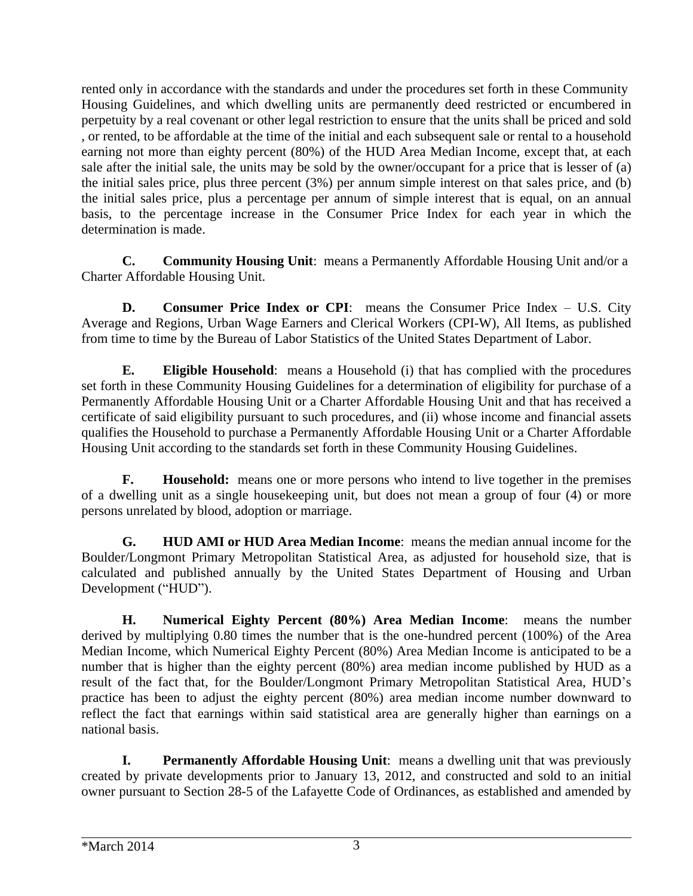rented only in accordance with the standards and under the procedures set forth in these Community Housing Guidelines, and which dwelling units are permanently deed restricted or encumbered in perpetuity by a real covenant or other legal restriction to ensure that the units shall be priced and sold , or rented, to be affordable at the time of the initial and each subsequent sale or rental to a household earning not more than eighty percent (80%) of the HUD Area Median Income, except that, at each sale after the initial sale, the units may be sold by the owner/occupant for a price that is lesser of (a) the initial sales price, plus three percent (3%) per annum simple interest on that sales price, and (b) the initial sales price, plus a percentage per annum of simple interest that is equal, on an annual basis, to the percentage increase in the Consumer Price Index for each year in which the determination is made.

**C. Community Housing Unit**: means a Permanently Affordable Housing Unit and/or a Charter Affordable Housing Unit.

**D. Consumer Price Index or CPI**: means the Consumer Price Index – U.S. City Average and Regions, Urban Wage Earners and Clerical Workers (CPI-W), All Items, as published from time to time by the Bureau of Labor Statistics of the United States Department of Labor.

**E. Eligible Household**: means a Household (i) that has complied with the procedures set forth in these Community Housing Guidelines for a determination of eligibility for purchase of a Permanently Affordable Housing Unit or a Charter Affordable Housing Unit and that has received a certificate of said eligibility pursuant to such procedures, and (ii) whose income and financial assets qualifies the Household to purchase a Permanently Affordable Housing Unit or a Charter Affordable Housing Unit according to the standards set forth in these Community Housing Guidelines.

**F. Household:** means one or more persons who intend to live together in the premises of a dwelling unit as a single housekeeping unit, but does not mean a group of four (4) or more persons unrelated by blood, adoption or marriage.

**G. HUD AMI or HUD Area Median Income**: means the median annual income for the Boulder/Longmont Primary Metropolitan Statistical Area, as adjusted for household size, that is calculated and published annually by the United States Department of Housing and Urban Development ("HUD").

**H. Numerical Eighty Percent (80%) Area Median Income**: means the number derived by multiplying 0.80 times the number that is the one-hundred percent (100%) of the Area Median Income, which Numerical Eighty Percent (80%) Area Median Income is anticipated to be a number that is higher than the eighty percent (80%) area median income published by HUD as a result of the fact that, for the Boulder/Longmont Primary Metropolitan Statistical Area, HUD's practice has been to adjust the eighty percent (80%) area median income number downward to reflect the fact that earnings within said statistical area are generally higher than earnings on a national basis.

**I. Permanently Affordable Housing Unit**: means a dwelling unit that was previously created by private developments prior to January 13, 2012, and constructed and sold to an initial owner pursuant to Section 28-5 of the Lafayette Code of Ordinances, as established and amended by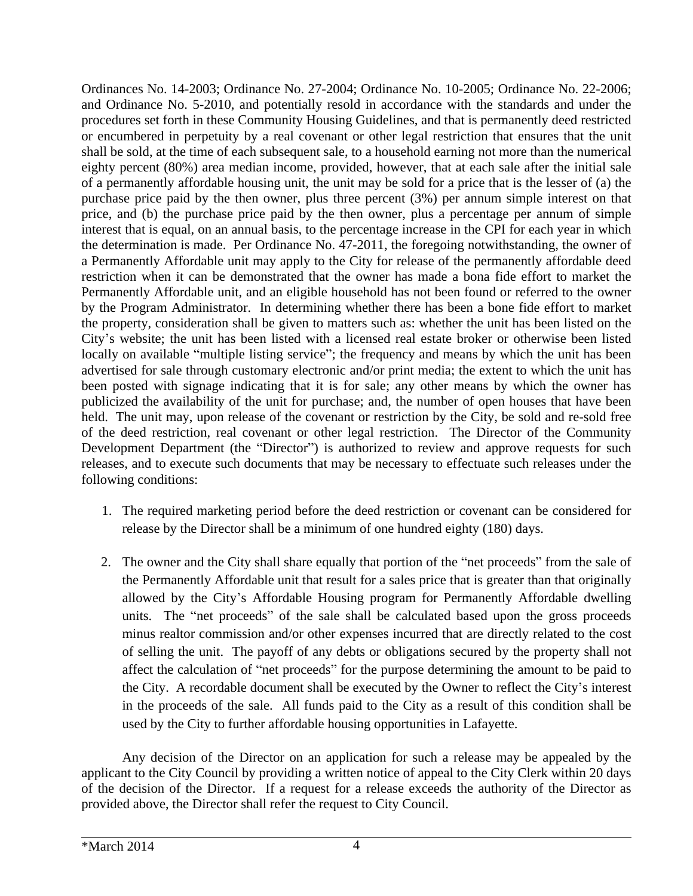Ordinances No. 14-2003; Ordinance No. 27-2004; Ordinance No. 10-2005; Ordinance No. 22-2006; and Ordinance No. 5-2010, and potentially resold in accordance with the standards and under the procedures set forth in these Community Housing Guidelines, and that is permanently deed restricted or encumbered in perpetuity by a real covenant or other legal restriction that ensures that the unit shall be sold, at the time of each subsequent sale, to a household earning not more than the numerical eighty percent (80%) area median income, provided, however, that at each sale after the initial sale of a permanently affordable housing unit, the unit may be sold for a price that is the lesser of (a) the purchase price paid by the then owner, plus three percent (3%) per annum simple interest on that price, and (b) the purchase price paid by the then owner, plus a percentage per annum of simple interest that is equal, on an annual basis, to the percentage increase in the CPI for each year in which the determination is made. Per Ordinance No. 47-2011, the foregoing notwithstanding, the owner of a Permanently Affordable unit may apply to the City for release of the permanently affordable deed restriction when it can be demonstrated that the owner has made a bona fide effort to market the Permanently Affordable unit, and an eligible household has not been found or referred to the owner by the Program Administrator. In determining whether there has been a bone fide effort to market the property, consideration shall be given to matters such as: whether the unit has been listed on the City's website; the unit has been listed with a licensed real estate broker or otherwise been listed locally on available "multiple listing service"; the frequency and means by which the unit has been advertised for sale through customary electronic and/or print media; the extent to which the unit has been posted with signage indicating that it is for sale; any other means by which the owner has publicized the availability of the unit for purchase; and, the number of open houses that have been held. The unit may, upon release of the covenant or restriction by the City, be sold and re-sold free of the deed restriction, real covenant or other legal restriction. The Director of the Community Development Department (the "Director") is authorized to review and approve requests for such releases, and to execute such documents that may be necessary to effectuate such releases under the following conditions:

- 1. The required marketing period before the deed restriction or covenant can be considered for release by the Director shall be a minimum of one hundred eighty (180) days.
- 2. The owner and the City shall share equally that portion of the "net proceeds" from the sale of the Permanently Affordable unit that result for a sales price that is greater than that originally allowed by the City's Affordable Housing program for Permanently Affordable dwelling units. The "net proceeds" of the sale shall be calculated based upon the gross proceeds minus realtor commission and/or other expenses incurred that are directly related to the cost of selling the unit. The payoff of any debts or obligations secured by the property shall not affect the calculation of "net proceeds" for the purpose determining the amount to be paid to the City. A recordable document shall be executed by the Owner to reflect the City's interest in the proceeds of the sale. All funds paid to the City as a result of this condition shall be used by the City to further affordable housing opportunities in Lafayette.

Any decision of the Director on an application for such a release may be appealed by the applicant to the City Council by providing a written notice of appeal to the City Clerk within 20 days of the decision of the Director. If a request for a release exceeds the authority of the Director as provided above, the Director shall refer the request to City Council.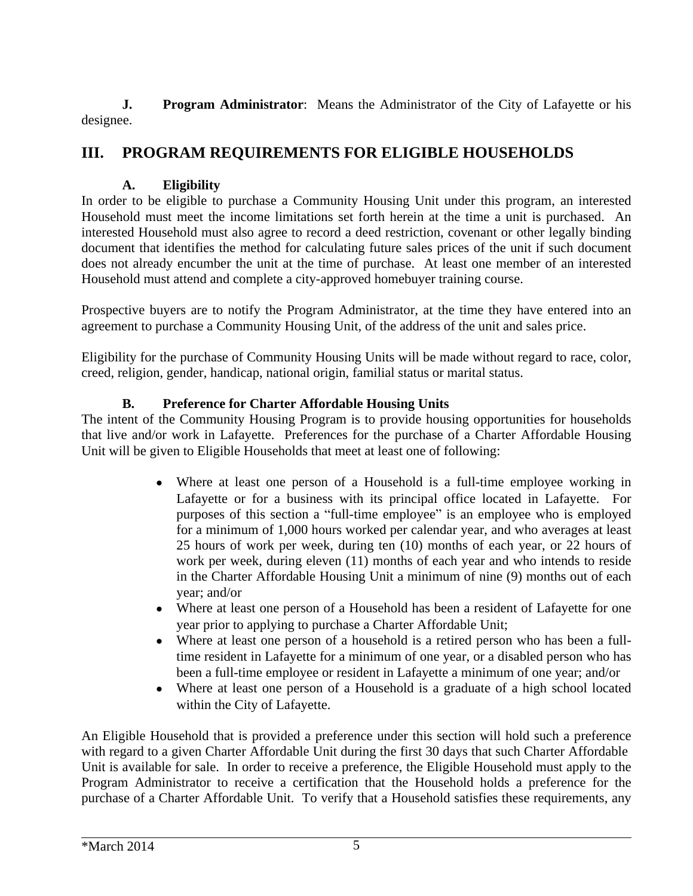**J. Program Administrator**: Means the Administrator of the City of Lafayette or his designee.

# **III. PROGRAM REQUIREMENTS FOR ELIGIBLE HOUSEHOLDS**

### **A. Eligibility**

In order to be eligible to purchase a Community Housing Unit under this program, an interested Household must meet the income limitations set forth herein at the time a unit is purchased. An interested Household must also agree to record a deed restriction, covenant or other legally binding document that identifies the method for calculating future sales prices of the unit if such document does not already encumber the unit at the time of purchase. At least one member of an interested Household must attend and complete a city-approved homebuyer training course.

Prospective buyers are to notify the Program Administrator, at the time they have entered into an agreement to purchase a Community Housing Unit, of the address of the unit and sales price.

Eligibility for the purchase of Community Housing Units will be made without regard to race, color, creed, religion, gender, handicap, national origin, familial status or marital status.

### **B. Preference for Charter Affordable Housing Units**

The intent of the Community Housing Program is to provide housing opportunities for households that live and/or work in Lafayette. Preferences for the purchase of a Charter Affordable Housing Unit will be given to Eligible Households that meet at least one of following:

- Where at least one person of a Household is a full-time employee working in Lafayette or for a business with its principal office located in Lafayette. For purposes of this section a "full-time employee" is an employee who is employed for a minimum of 1,000 hours worked per calendar year, and who averages at least 25 hours of work per week, during ten (10) months of each year, or 22 hours of work per week, during eleven (11) months of each year and who intends to reside in the Charter Affordable Housing Unit a minimum of nine (9) months out of each year; and/or
- Where at least one person of a Household has been a resident of Lafayette for one year prior to applying to purchase a Charter Affordable Unit;
- Where at least one person of a household is a retired person who has been a fulltime resident in Lafayette for a minimum of one year, or a disabled person who has been a full-time employee or resident in Lafayette a minimum of one year; and/or
- Where at least one person of a Household is a graduate of a high school located within the City of Lafayette.

An Eligible Household that is provided a preference under this section will hold such a preference with regard to a given Charter Affordable Unit during the first 30 days that such Charter Affordable Unit is available for sale. In order to receive a preference, the Eligible Household must apply to the Program Administrator to receive a certification that the Household holds a preference for the purchase of a Charter Affordable Unit. To verify that a Household satisfies these requirements, any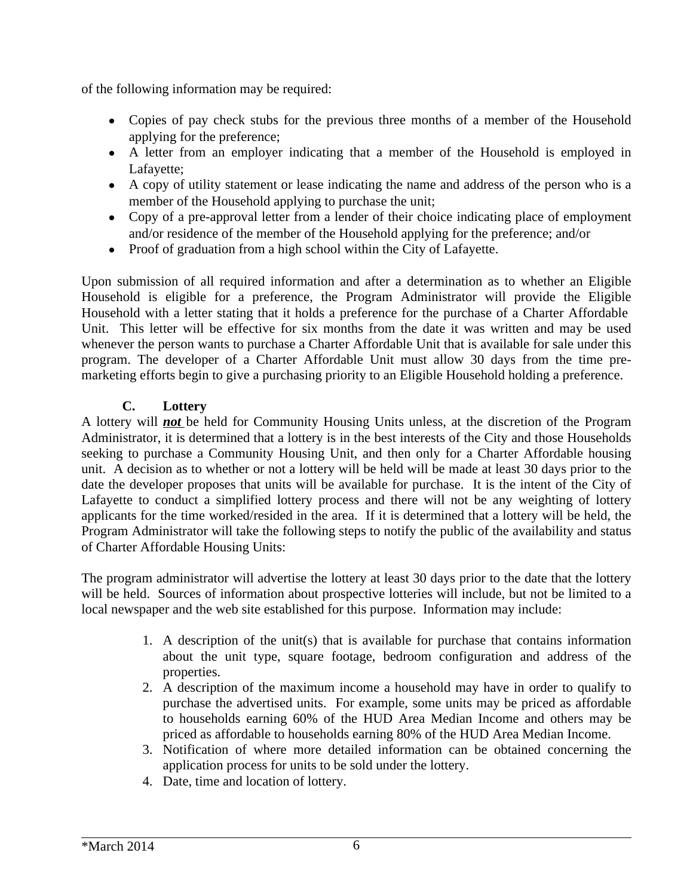of the following information may be required:

- Copies of pay check stubs for the previous three months of a member of the Household applying for the preference;
- A letter from an employer indicating that a member of the Household is employed in Lafayette;
- A copy of utility statement or lease indicating the name and address of the person who is a member of the Household applying to purchase the unit;
- Copy of a pre-approval letter from a lender of their choice indicating place of employment and/or residence of the member of the Household applying for the preference; and/or
- Proof of graduation from a high school within the City of Lafayette.

Upon submission of all required information and after a determination as to whether an Eligible Household is eligible for a preference, the Program Administrator will provide the Eligible Household with a letter stating that it holds a preference for the purchase of a Charter Affordable Unit. This letter will be effective for six months from the date it was written and may be used whenever the person wants to purchase a Charter Affordable Unit that is available for sale under this program. The developer of a Charter Affordable Unit must allow 30 days from the time premarketing efforts begin to give a purchasing priority to an Eligible Household holding a preference.

### **C. Lottery**

A lottery will *not* be held for Community Housing Units unless, at the discretion of the Program Administrator, it is determined that a lottery is in the best interests of the City and those Households seeking to purchase a Community Housing Unit, and then only for a Charter Affordable housing unit. A decision as to whether or not a lottery will be held will be made at least 30 days prior to the date the developer proposes that units will be available for purchase. It is the intent of the City of Lafayette to conduct a simplified lottery process and there will not be any weighting of lottery applicants for the time worked/resided in the area. If it is determined that a lottery will be held, the Program Administrator will take the following steps to notify the public of the availability and status of Charter Affordable Housing Units:

The program administrator will advertise the lottery at least 30 days prior to the date that the lottery will be held. Sources of information about prospective lotteries will include, but not be limited to a local newspaper and the web site established for this purpose. Information may include:

- 1. A description of the unit(s) that is available for purchase that contains information about the unit type, square footage, bedroom configuration and address of the properties.
- 2. A description of the maximum income a household may have in order to qualify to purchase the advertised units. For example, some units may be priced as affordable to households earning 60% of the HUD Area Median Income and others may be priced as affordable to households earning 80% of the HUD Area Median Income.
- 3. Notification of where more detailed information can be obtained concerning the application process for units to be sold under the lottery.
- 4. Date, time and location of lottery.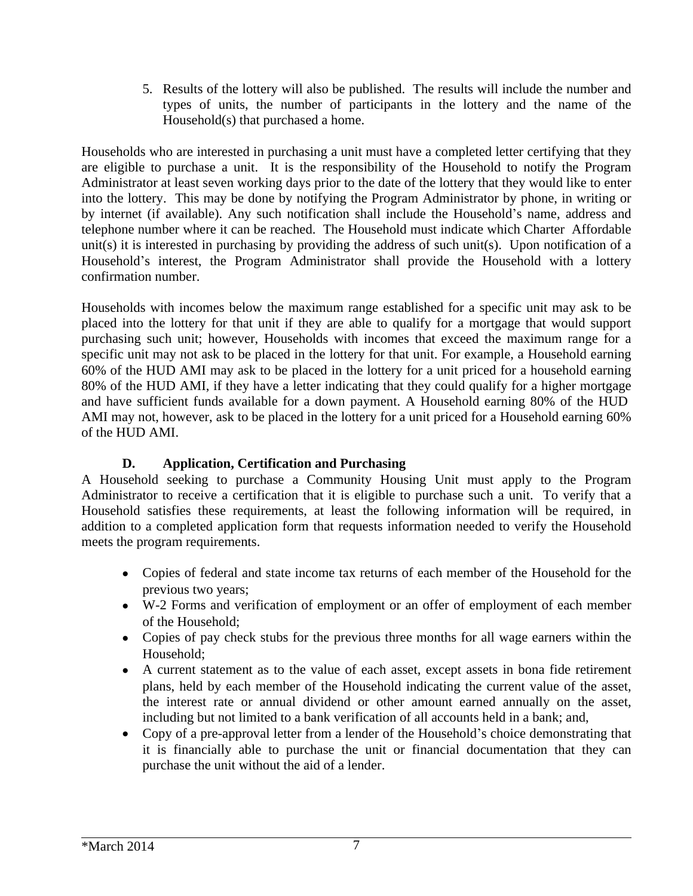5. Results of the lottery will also be published. The results will include the number and types of units, the number of participants in the lottery and the name of the Household(s) that purchased a home.

Households who are interested in purchasing a unit must have a completed letter certifying that they are eligible to purchase a unit. It is the responsibility of the Household to notify the Program Administrator at least seven working days prior to the date of the lottery that they would like to enter into the lottery. This may be done by notifying the Program Administrator by phone, in writing or by internet (if available). Any such notification shall include the Household's name, address and telephone number where it can be reached. The Household must indicate which Charter Affordable unit(s) it is interested in purchasing by providing the address of such unit(s). Upon notification of a Household's interest, the Program Administrator shall provide the Household with a lottery confirmation number.

Households with incomes below the maximum range established for a specific unit may ask to be placed into the lottery for that unit if they are able to qualify for a mortgage that would support purchasing such unit; however, Households with incomes that exceed the maximum range for a specific unit may not ask to be placed in the lottery for that unit. For example, a Household earning 60% of the HUD AMI may ask to be placed in the lottery for a unit priced for a household earning 80% of the HUD AMI, if they have a letter indicating that they could qualify for a higher mortgage and have sufficient funds available for a down payment. A Household earning 80% of the HUD AMI may not, however, ask to be placed in the lottery for a unit priced for a Household earning 60% of the HUD AMI.

### **D. Application, Certification and Purchasing**

A Household seeking to purchase a Community Housing Unit must apply to the Program Administrator to receive a certification that it is eligible to purchase such a unit. To verify that a Household satisfies these requirements, at least the following information will be required, in addition to a completed application form that requests information needed to verify the Household meets the program requirements.

- Copies of federal and state income tax returns of each member of the Household for the previous two years;
- W-2 Forms and verification of employment or an offer of employment of each member of the Household;
- Copies of pay check stubs for the previous three months for all wage earners within the Household;
- A current statement as to the value of each asset, except assets in bona fide retirement plans, held by each member of the Household indicating the current value of the asset, the interest rate or annual dividend or other amount earned annually on the asset, including but not limited to a bank verification of all accounts held in a bank; and,
- Copy of a pre-approval letter from a lender of the Household's choice demonstrating that it is financially able to purchase the unit or financial documentation that they can purchase the unit without the aid of a lender.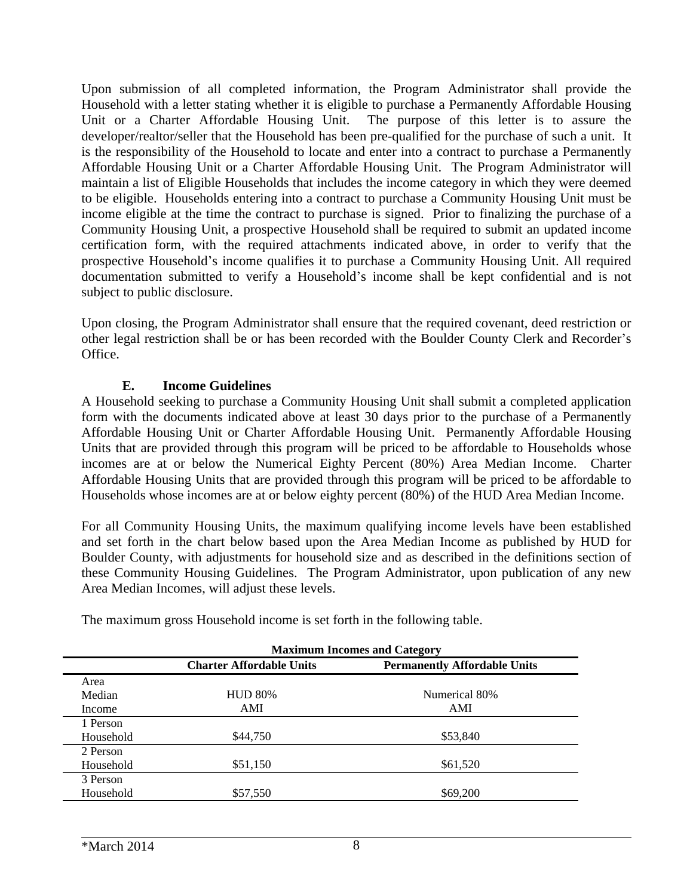Upon submission of all completed information, the Program Administrator shall provide the Household with a letter stating whether it is eligible to purchase a Permanently Affordable Housing Unit or a Charter Affordable Housing Unit. The purpose of this letter is to assure the developer/realtor/seller that the Household has been pre-qualified for the purchase of such a unit. It is the responsibility of the Household to locate and enter into a contract to purchase a Permanently Affordable Housing Unit or a Charter Affordable Housing Unit. The Program Administrator will maintain a list of Eligible Households that includes the income category in which they were deemed to be eligible. Households entering into a contract to purchase a Community Housing Unit must be income eligible at the time the contract to purchase is signed. Prior to finalizing the purchase of a Community Housing Unit, a prospective Household shall be required to submit an updated income certification form, with the required attachments indicated above, in order to verify that the prospective Household's income qualifies it to purchase a Community Housing Unit. All required documentation submitted to verify a Household's income shall be kept confidential and is not subject to public disclosure.

Upon closing, the Program Administrator shall ensure that the required covenant, deed restriction or other legal restriction shall be or has been recorded with the Boulder County Clerk and Recorder's Office.

#### **E. Income Guidelines**

A Household seeking to purchase a Community Housing Unit shall submit a completed application form with the documents indicated above at least 30 days prior to the purchase of a Permanently Affordable Housing Unit or Charter Affordable Housing Unit. Permanently Affordable Housing Units that are provided through this program will be priced to be affordable to Households whose incomes are at or below the Numerical Eighty Percent (80%) Area Median Income. Charter Affordable Housing Units that are provided through this program will be priced to be affordable to Households whose incomes are at or below eighty percent (80%) of the HUD Area Median Income.

For all Community Housing Units, the maximum qualifying income levels have been established and set forth in the chart below based upon the Area Median Income as published by HUD for Boulder County, with adjustments for household size and as described in the definitions section of these Community Housing Guidelines. The Program Administrator, upon publication of any new Area Median Incomes, will adjust these levels.

|           | <b>Maximum Incomes and Category</b> |                                     |
|-----------|-------------------------------------|-------------------------------------|
|           | <b>Charter Affordable Units</b>     | <b>Permanently Affordable Units</b> |
| Area      |                                     |                                     |
| Median    | <b>HUD 80%</b>                      | Numerical 80%                       |
| Income    | AMI                                 | AMI                                 |
| 1 Person  |                                     |                                     |
| Household | \$44,750                            | \$53,840                            |
| 2 Person  |                                     |                                     |
| Household | \$51,150                            | \$61,520                            |
| 3 Person  |                                     |                                     |
| Household | \$57,550                            | \$69,200                            |

The maximum gross Household income is set forth in the following table.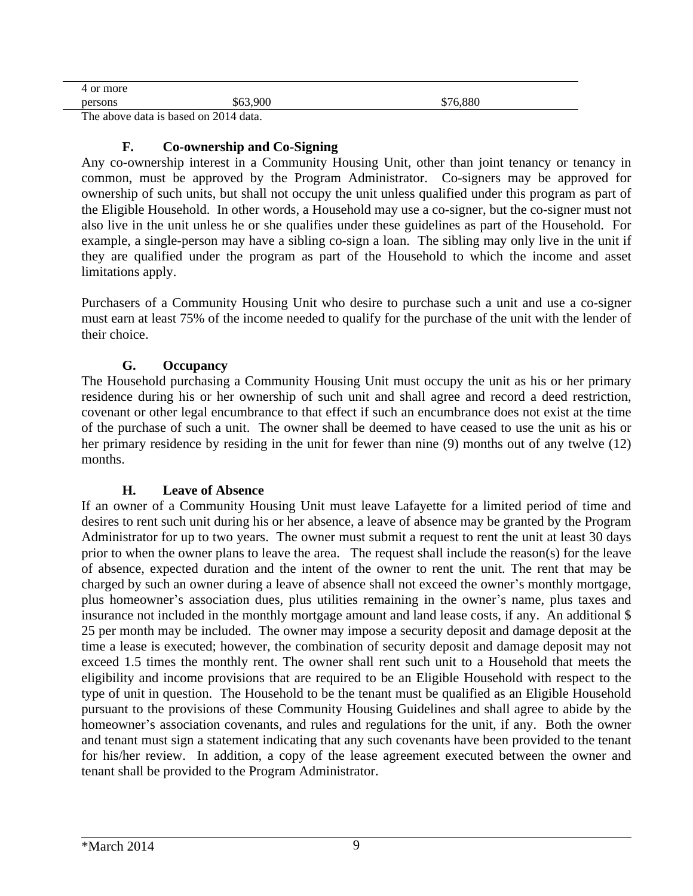| maxa<br>.   |                             |                  |
|-------------|-----------------------------|------------------|
| persons     | nnr<br>.nn<br>w             | 000c<br>ጡ<br>. . |
| <b>FIRE</b> | $\sim$ $\sim$ $\sim$ $\sim$ |                  |

The above data is based on 2014 data.

#### **F. Co-ownership and Co-Signing**

Any co-ownership interest in a Community Housing Unit, other than joint tenancy or tenancy in common, must be approved by the Program Administrator. Co-signers may be approved for ownership of such units, but shall not occupy the unit unless qualified under this program as part of the Eligible Household. In other words, a Household may use a co-signer, but the co-signer must not also live in the unit unless he or she qualifies under these guidelines as part of the Household. For example, a single-person may have a sibling co-sign a loan. The sibling may only live in the unit if they are qualified under the program as part of the Household to which the income and asset limitations apply.

Purchasers of a Community Housing Unit who desire to purchase such a unit and use a co-signer must earn at least 75% of the income needed to qualify for the purchase of the unit with the lender of their choice.

#### **G. Occupancy**

The Household purchasing a Community Housing Unit must occupy the unit as his or her primary residence during his or her ownership of such unit and shall agree and record a deed restriction, covenant or other legal encumbrance to that effect if such an encumbrance does not exist at the time of the purchase of such a unit. The owner shall be deemed to have ceased to use the unit as his or her primary residence by residing in the unit for fewer than nine (9) months out of any twelve (12) months.

#### **H. Leave of Absence**

If an owner of a Community Housing Unit must leave Lafayette for a limited period of time and desires to rent such unit during his or her absence, a leave of absence may be granted by the Program Administrator for up to two years. The owner must submit a request to rent the unit at least 30 days prior to when the owner plans to leave the area. The request shall include the reason(s) for the leave of absence, expected duration and the intent of the owner to rent the unit. The rent that may be charged by such an owner during a leave of absence shall not exceed the owner's monthly mortgage, plus homeowner's association dues, plus utilities remaining in the owner's name, plus taxes and insurance not included in the monthly mortgage amount and land lease costs, if any. An additional \$ 25 per month may be included. The owner may impose a security deposit and damage deposit at the time a lease is executed; however, the combination of security deposit and damage deposit may not exceed 1.5 times the monthly rent. The owner shall rent such unit to a Household that meets the eligibility and income provisions that are required to be an Eligible Household with respect to the type of unit in question. The Household to be the tenant must be qualified as an Eligible Household pursuant to the provisions of these Community Housing Guidelines and shall agree to abide by the homeowner's association covenants, and rules and regulations for the unit, if any. Both the owner and tenant must sign a statement indicating that any such covenants have been provided to the tenant for his/her review. In addition, a copy of the lease agreement executed between the owner and tenant shall be provided to the Program Administrator.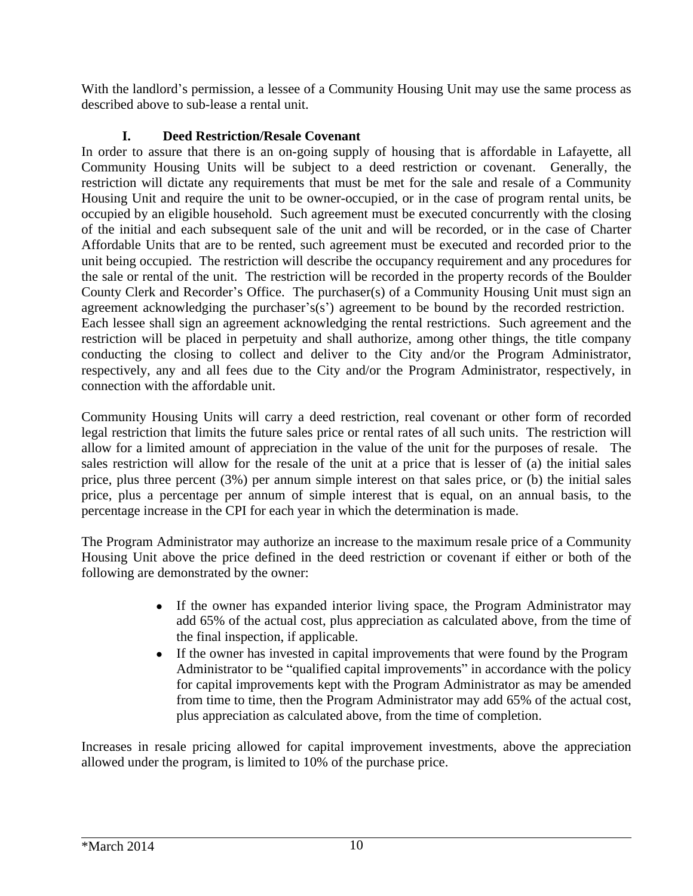With the landlord's permission, a lessee of a Community Housing Unit may use the same process as described above to sub-lease a rental unit.

### **I. Deed Restriction/Resale Covenant**

In order to assure that there is an on-going supply of housing that is affordable in Lafayette, all Community Housing Units will be subject to a deed restriction or covenant. Generally, the restriction will dictate any requirements that must be met for the sale and resale of a Community Housing Unit and require the unit to be owner-occupied, or in the case of program rental units, be occupied by an eligible household. Such agreement must be executed concurrently with the closing of the initial and each subsequent sale of the unit and will be recorded, or in the case of Charter Affordable Units that are to be rented, such agreement must be executed and recorded prior to the unit being occupied. The restriction will describe the occupancy requirement and any procedures for the sale or rental of the unit. The restriction will be recorded in the property records of the Boulder County Clerk and Recorder's Office. The purchaser(s) of a Community Housing Unit must sign an agreement acknowledging the purchaser's(s') agreement to be bound by the recorded restriction. Each lessee shall sign an agreement acknowledging the rental restrictions. Such agreement and the restriction will be placed in perpetuity and shall authorize, among other things, the title company conducting the closing to collect and deliver to the City and/or the Program Administrator, respectively, any and all fees due to the City and/or the Program Administrator, respectively, in connection with the affordable unit.

Community Housing Units will carry a deed restriction, real covenant or other form of recorded legal restriction that limits the future sales price or rental rates of all such units. The restriction will allow for a limited amount of appreciation in the value of the unit for the purposes of resale. The sales restriction will allow for the resale of the unit at a price that is lesser of (a) the initial sales price, plus three percent (3%) per annum simple interest on that sales price, or (b) the initial sales price, plus a percentage per annum of simple interest that is equal, on an annual basis, to the percentage increase in the CPI for each year in which the determination is made.

The Program Administrator may authorize an increase to the maximum resale price of a Community Housing Unit above the price defined in the deed restriction or covenant if either or both of the following are demonstrated by the owner:

- If the owner has expanded interior living space, the Program Administrator may add 65% of the actual cost, plus appreciation as calculated above, from the time of the final inspection, if applicable.
- If the owner has invested in capital improvements that were found by the Program Administrator to be "qualified capital improvements" in accordance with the policy for capital improvements kept with the Program Administrator as may be amended from time to time, then the Program Administrator may add 65% of the actual cost, plus appreciation as calculated above, from the time of completion.

Increases in resale pricing allowed for capital improvement investments, above the appreciation allowed under the program, is limited to 10% of the purchase price.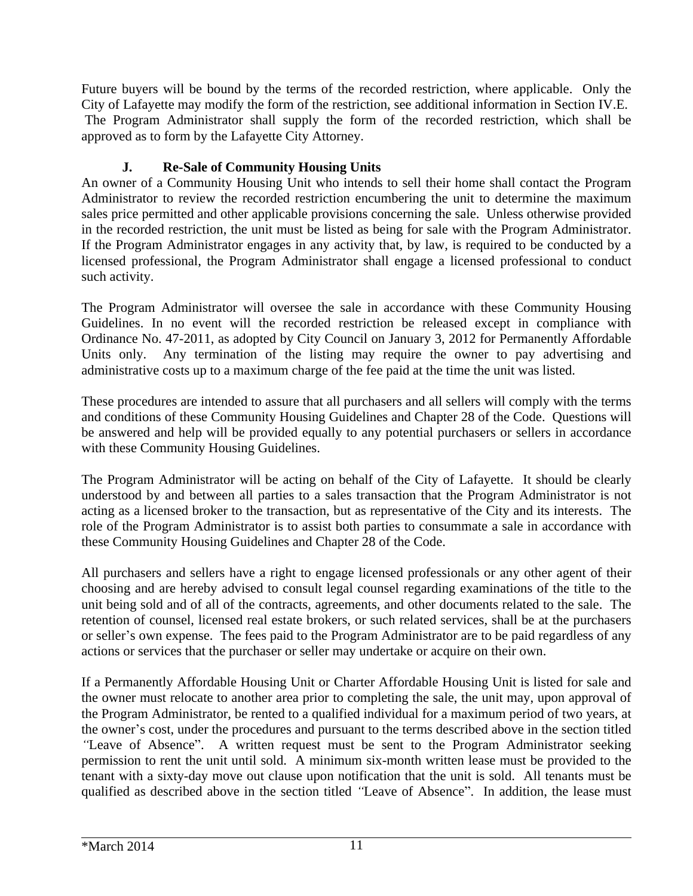Future buyers will be bound by the terms of the recorded restriction, where applicable. Only the City of Lafayette may modify the form of the restriction, see additional information in Section IV.E. The Program Administrator shall supply the form of the recorded restriction, which shall be approved as to form by the Lafayette City Attorney.

### **J. Re-Sale of Community Housing Units**

An owner of a Community Housing Unit who intends to sell their home shall contact the Program Administrator to review the recorded restriction encumbering the unit to determine the maximum sales price permitted and other applicable provisions concerning the sale. Unless otherwise provided in the recorded restriction, the unit must be listed as being for sale with the Program Administrator. If the Program Administrator engages in any activity that, by law, is required to be conducted by a licensed professional, the Program Administrator shall engage a licensed professional to conduct such activity.

The Program Administrator will oversee the sale in accordance with these Community Housing Guidelines. In no event will the recorded restriction be released except in compliance with Ordinance No. 47-2011, as adopted by City Council on January 3, 2012 for Permanently Affordable Units only. Any termination of the listing may require the owner to pay advertising and administrative costs up to a maximum charge of the fee paid at the time the unit was listed.

These procedures are intended to assure that all purchasers and all sellers will comply with the terms and conditions of these Community Housing Guidelines and Chapter 28 of the Code. Questions will be answered and help will be provided equally to any potential purchasers or sellers in accordance with these Community Housing Guidelines.

The Program Administrator will be acting on behalf of the City of Lafayette. It should be clearly understood by and between all parties to a sales transaction that the Program Administrator is not acting as a licensed broker to the transaction, but as representative of the City and its interests. The role of the Program Administrator is to assist both parties to consummate a sale in accordance with these Community Housing Guidelines and Chapter 28 of the Code.

All purchasers and sellers have a right to engage licensed professionals or any other agent of their choosing and are hereby advised to consult legal counsel regarding examinations of the title to the unit being sold and of all of the contracts, agreements, and other documents related to the sale. The retention of counsel, licensed real estate brokers, or such related services, shall be at the purchasers or seller's own expense. The fees paid to the Program Administrator are to be paid regardless of any actions or services that the purchaser or seller may undertake or acquire on their own.

If a Permanently Affordable Housing Unit or Charter Affordable Housing Unit is listed for sale and the owner must relocate to another area prior to completing the sale, the unit may, upon approval of the Program Administrator, be rented to a qualified individual for a maximum period of two years, at the owner's cost, under the procedures and pursuant to the terms described above in the section titled *"*Leave of Absence". A written request must be sent to the Program Administrator seeking permission to rent the unit until sold. A minimum six-month written lease must be provided to the tenant with a sixty-day move out clause upon notification that the unit is sold. All tenants must be qualified as described above in the section titled *"*Leave of Absence". In addition, the lease must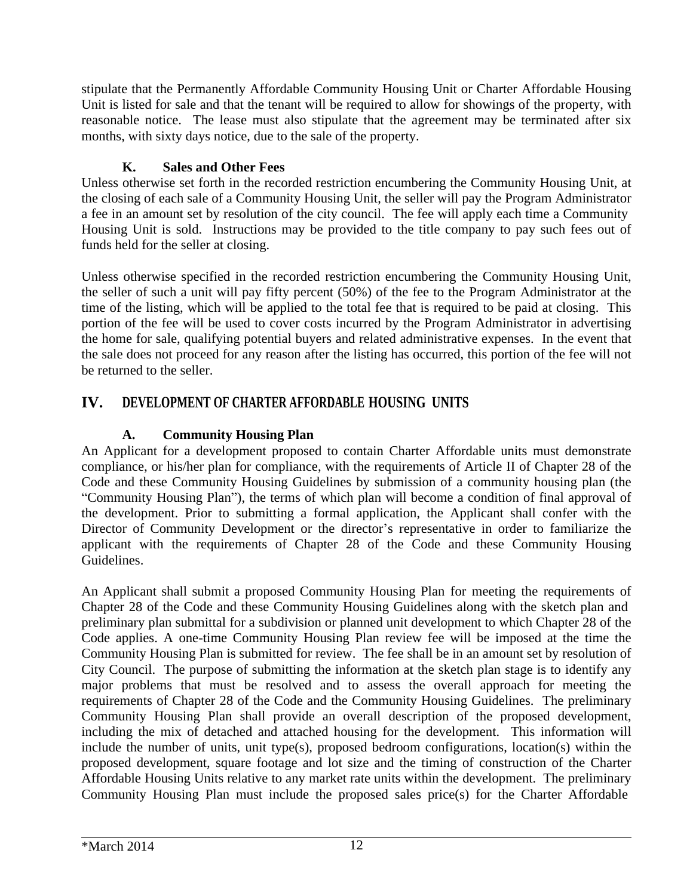stipulate that the Permanently Affordable Community Housing Unit or Charter Affordable Housing Unit is listed for sale and that the tenant will be required to allow for showings of the property, with reasonable notice. The lease must also stipulate that the agreement may be terminated after six months, with sixty days notice, due to the sale of the property.

### **K. Sales and Other Fees**

Unless otherwise set forth in the recorded restriction encumbering the Community Housing Unit, at the closing of each sale of a Community Housing Unit, the seller will pay the Program Administrator a fee in an amount set by resolution of the city council. The fee will apply each time a Community Housing Unit is sold. Instructions may be provided to the title company to pay such fees out of funds held for the seller at closing.

Unless otherwise specified in the recorded restriction encumbering the Community Housing Unit, the seller of such a unit will pay fifty percent (50%) of the fee to the Program Administrator at the time of the listing, which will be applied to the total fee that is required to be paid at closing. This portion of the fee will be used to cover costs incurred by the Program Administrator in advertising the home for sale, qualifying potential buyers and related administrative expenses. In the event that the sale does not proceed for any reason after the listing has occurred, this portion of the fee will not be returned to the seller.

# **IV. DEVELOPMENT OF CHARTER AFFORDABLE HOUSING UNITS**

# **A. Community Housing Plan**

An Applicant for a development proposed to contain Charter Affordable units must demonstrate compliance, or his/her plan for compliance, with the requirements of Article II of Chapter 28 of the Code and these Community Housing Guidelines by submission of a community housing plan (the "Community Housing Plan"), the terms of which plan will become a condition of final approval of the development. Prior to submitting a formal application, the Applicant shall confer with the Director of Community Development or the director's representative in order to familiarize the applicant with the requirements of Chapter 28 of the Code and these Community Housing Guidelines.

An Applicant shall submit a proposed Community Housing Plan for meeting the requirements of Chapter 28 of the Code and these Community Housing Guidelines along with the sketch plan and preliminary plan submittal for a subdivision or planned unit development to which Chapter 28 of the Code applies. A one-time Community Housing Plan review fee will be imposed at the time the Community Housing Plan is submitted for review. The fee shall be in an amount set by resolution of City Council. The purpose of submitting the information at the sketch plan stage is to identify any major problems that must be resolved and to assess the overall approach for meeting the requirements of Chapter 28 of the Code and the Community Housing Guidelines. The preliminary Community Housing Plan shall provide an overall description of the proposed development, including the mix of detached and attached housing for the development. This information will include the number of units, unit type(s), proposed bedroom configurations, location(s) within the proposed development, square footage and lot size and the timing of construction of the Charter Affordable Housing Units relative to any market rate units within the development. The preliminary Community Housing Plan must include the proposed sales price(s) for the Charter Affordable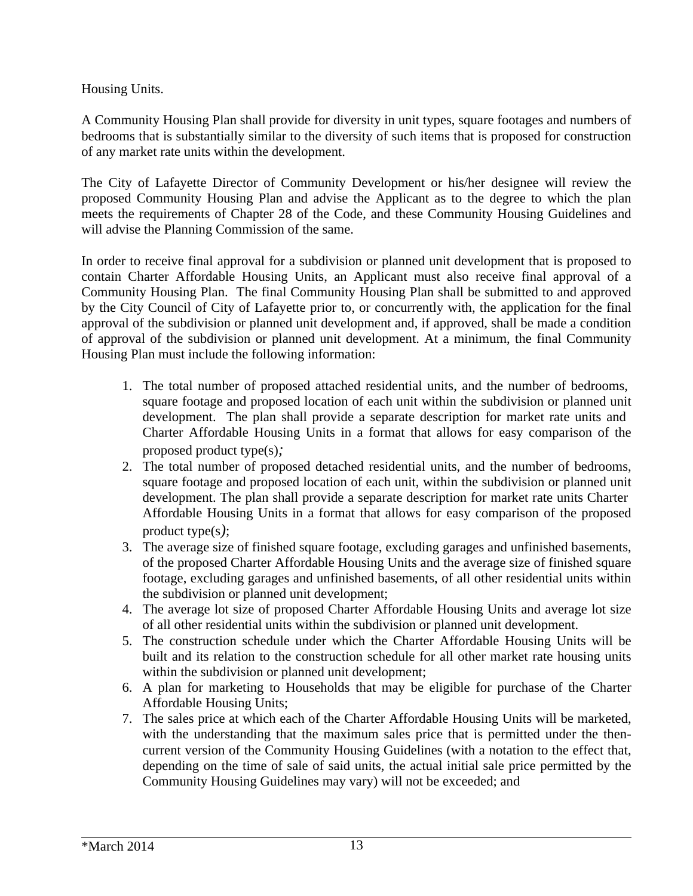Housing Units.

A Community Housing Plan shall provide for diversity in unit types, square footages and numbers of bedrooms that is substantially similar to the diversity of such items that is proposed for construction of any market rate units within the development.

The City of Lafayette Director of Community Development or his/her designee will review the proposed Community Housing Plan and advise the Applicant as to the degree to which the plan meets the requirements of Chapter 28 of the Code, and these Community Housing Guidelines and will advise the Planning Commission of the same.

In order to receive final approval for a subdivision or planned unit development that is proposed to contain Charter Affordable Housing Units, an Applicant must also receive final approval of a Community Housing Plan. The final Community Housing Plan shall be submitted to and approved by the City Council of City of Lafayette prior to, or concurrently with, the application for the final approval of the subdivision or planned unit development and, if approved, shall be made a condition of approval of the subdivision or planned unit development. At a minimum, the final Community Housing Plan must include the following information:

- 1. The total number of proposed attached residential units, and the number of bedrooms, square footage and proposed location of each unit within the subdivision or planned unit development. The plan shall provide a separate description for market rate units and Charter Affordable Housing Units in a format that allows for easy comparison of the proposed product type(s)*;*
- 2. The total number of proposed detached residential units, and the number of bedrooms, square footage and proposed location of each unit, within the subdivision or planned unit development. The plan shall provide a separate description for market rate units Charter Affordable Housing Units in a format that allows for easy comparison of the proposed product type(s*)*;
- 3. The average size of finished square footage, excluding garages and unfinished basements, of the proposed Charter Affordable Housing Units and the average size of finished square footage, excluding garages and unfinished basements, of all other residential units within the subdivision or planned unit development;
- 4. The average lot size of proposed Charter Affordable Housing Units and average lot size of all other residential units within the subdivision or planned unit development.
- 5. The construction schedule under which the Charter Affordable Housing Units will be built and its relation to the construction schedule for all other market rate housing units within the subdivision or planned unit development;
- 6. A plan for marketing to Households that may be eligible for purchase of the Charter Affordable Housing Units;
- 7. The sales price at which each of the Charter Affordable Housing Units will be marketed, with the understanding that the maximum sales price that is permitted under the thencurrent version of the Community Housing Guidelines (with a notation to the effect that, depending on the time of sale of said units, the actual initial sale price permitted by the Community Housing Guidelines may vary) will not be exceeded; and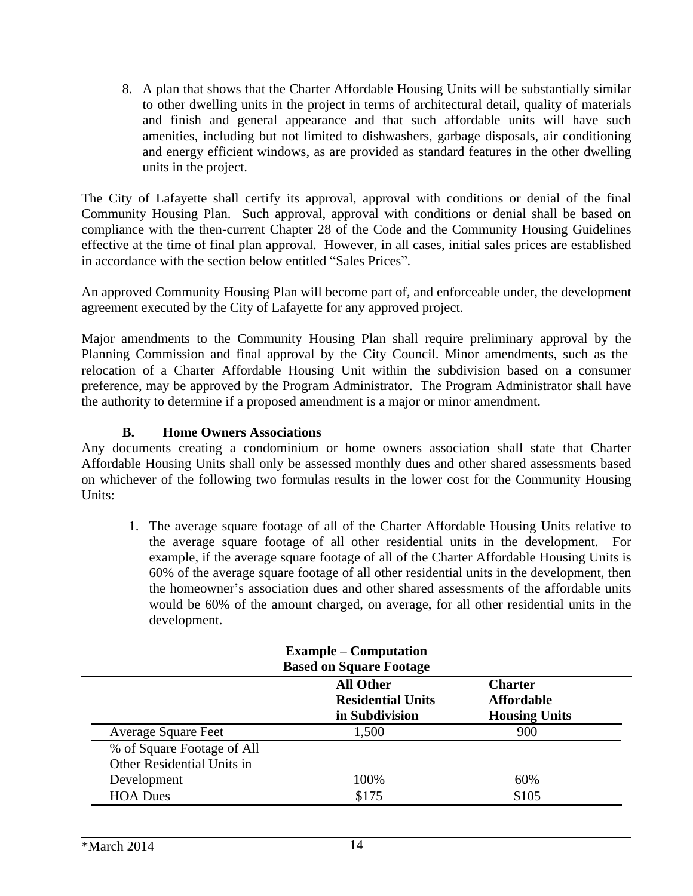8. A plan that shows that the Charter Affordable Housing Units will be substantially similar to other dwelling units in the project in terms of architectural detail, quality of materials and finish and general appearance and that such affordable units will have such amenities, including but not limited to dishwashers, garbage disposals, air conditioning and energy efficient windows, as are provided as standard features in the other dwelling units in the project.

The City of Lafayette shall certify its approval, approval with conditions or denial of the final Community Housing Plan. Such approval, approval with conditions or denial shall be based on compliance with the then-current Chapter 28 of the Code and the Community Housing Guidelines effective at the time of final plan approval. However, in all cases, initial sales prices are established in accordance with the section below entitled "Sales Prices".

An approved Community Housing Plan will become part of, and enforceable under, the development agreement executed by the City of Lafayette for any approved project.

Major amendments to the Community Housing Plan shall require preliminary approval by the Planning Commission and final approval by the City Council. Minor amendments, such as the relocation of a Charter Affordable Housing Unit within the subdivision based on a consumer preference, may be approved by the Program Administrator. The Program Administrator shall have the authority to determine if a proposed amendment is a major or minor amendment.

#### **B. Home Owners Associations**

Any documents creating a condominium or home owners association shall state that Charter Affordable Housing Units shall only be assessed monthly dues and other shared assessments based on whichever of the following two formulas results in the lower cost for the Community Housing Units:

1. The average square footage of all of the Charter Affordable Housing Units relative to the average square footage of all other residential units in the development. For example, if the average square footage of all of the Charter Affordable Housing Units is 60% of the average square footage of all other residential units in the development, then the homeowner's association dues and other shared assessments of the affordable units would be 60% of the amount charged, on average, for all other residential units in the development.

|                            | <b>Example – Computation</b><br><b>Based on Square Footage</b> |                                                             |
|----------------------------|----------------------------------------------------------------|-------------------------------------------------------------|
|                            | <b>All Other</b><br><b>Residential Units</b><br>in Subdivision | <b>Charter</b><br><b>Affordable</b><br><b>Housing Units</b> |
| <b>Average Square Feet</b> | 1,500                                                          | 900                                                         |
| % of Square Footage of All |                                                                |                                                             |
| Other Residential Units in |                                                                |                                                             |
| Development                | 100%                                                           | 60%                                                         |
| <b>HOA Dues</b>            | \$175                                                          | \$105                                                       |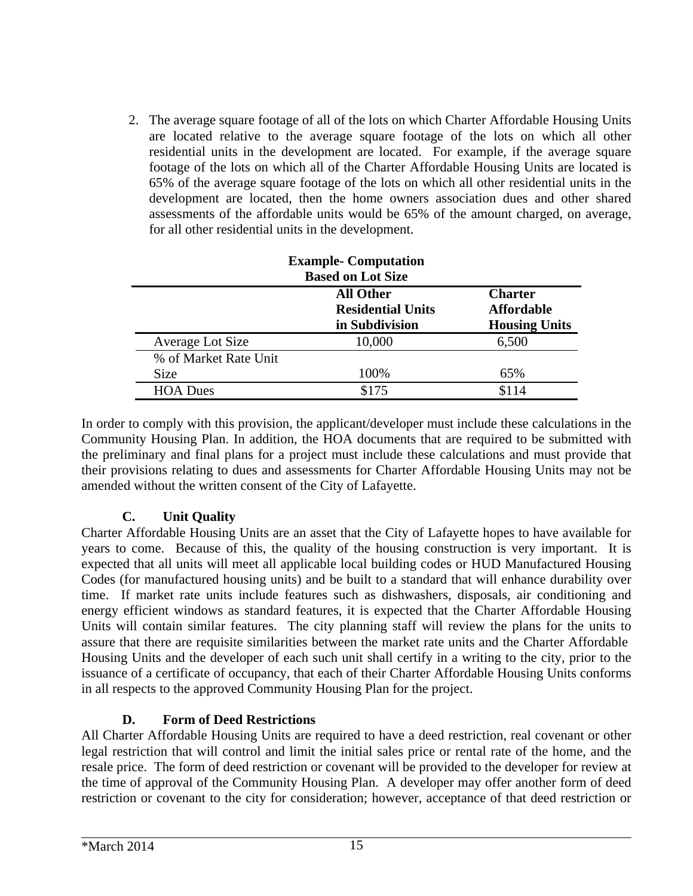2. The average square footage of all of the lots on which Charter Affordable Housing Units are located relative to the average square footage of the lots on which all other residential units in the development are located. For example, if the average square footage of the lots on which all of the Charter Affordable Housing Units are located is 65% of the average square footage of the lots on which all other residential units in the development are located, then the home owners association dues and other shared assessments of the affordable units would be 65% of the amount charged, on average, for all other residential units in the development.

| <b>Example- Computation</b> |                          |                      |
|-----------------------------|--------------------------|----------------------|
|                             | <b>Based on Lot Size</b> |                      |
|                             | <b>All Other</b>         | <b>Charter</b>       |
|                             | <b>Residential Units</b> | <b>Affordable</b>    |
|                             | in Subdivision           | <b>Housing Units</b> |
| Average Lot Size            | 10,000                   | 6,500                |
| % of Market Rate Unit       |                          |                      |
| <b>Size</b>                 | 100%                     | 65%                  |
| <b>HOA Dues</b>             | \$175                    | \$114                |

In order to comply with this provision, the applicant/developer must include these calculations in the Community Housing Plan. In addition, the HOA documents that are required to be submitted with the preliminary and final plans for a project must include these calculations and must provide that their provisions relating to dues and assessments for Charter Affordable Housing Units may not be amended without the written consent of the City of Lafayette.

### **C. Unit Quality**

Charter Affordable Housing Units are an asset that the City of Lafayette hopes to have available for years to come. Because of this, the quality of the housing construction is very important. It is expected that all units will meet all applicable local building codes or HUD Manufactured Housing Codes (for manufactured housing units) and be built to a standard that will enhance durability over time. If market rate units include features such as dishwashers, disposals, air conditioning and energy efficient windows as standard features, it is expected that the Charter Affordable Housing Units will contain similar features. The city planning staff will review the plans for the units to assure that there are requisite similarities between the market rate units and the Charter Affordable Housing Units and the developer of each such unit shall certify in a writing to the city, prior to the issuance of a certificate of occupancy, that each of their Charter Affordable Housing Units conforms in all respects to the approved Community Housing Plan for the project.

#### **D. Form of Deed Restrictions**

All Charter Affordable Housing Units are required to have a deed restriction, real covenant or other legal restriction that will control and limit the initial sales price or rental rate of the home, and the resale price. The form of deed restriction or covenant will be provided to the developer for review at the time of approval of the Community Housing Plan. A developer may offer another form of deed restriction or covenant to the city for consideration; however, acceptance of that deed restriction or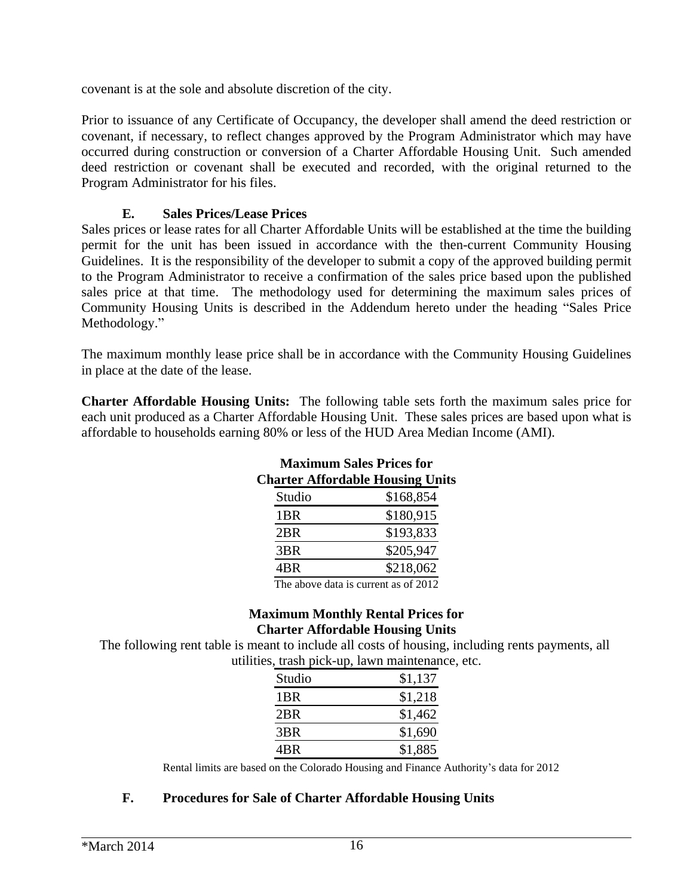covenant is at the sole and absolute discretion of the city.

Prior to issuance of any Certificate of Occupancy, the developer shall amend the deed restriction or covenant, if necessary, to reflect changes approved by the Program Administrator which may have occurred during construction or conversion of a Charter Affordable Housing Unit. Such amended deed restriction or covenant shall be executed and recorded, with the original returned to the Program Administrator for his files.

#### **E. Sales Prices/Lease Prices**

Sales prices or lease rates for all Charter Affordable Units will be established at the time the building permit for the unit has been issued in accordance with the then-current Community Housing Guidelines. It is the responsibility of the developer to submit a copy of the approved building permit to the Program Administrator to receive a confirmation of the sales price based upon the published sales price at that time. The methodology used for determining the maximum sales prices of Community Housing Units is described in the Addendum hereto under the heading "Sales Price Methodology."

The maximum monthly lease price shall be in accordance with the Community Housing Guidelines in place at the date of the lease.

**Charter Affordable Housing Units:** The following table sets forth the maximum sales price for each unit produced as a Charter Affordable Housing Unit. These sales prices are based upon what is affordable to households earning 80% or less of the HUD Area Median Income (AMI).

| Maximum Sales Prices for<br><b>Charter Affordable Housing Units</b> |                                      |  |
|---------------------------------------------------------------------|--------------------------------------|--|
| Studio                                                              | \$168,854                            |  |
| 1 <sub>BR</sub>                                                     | \$180,915                            |  |
| 2BR                                                                 | \$193,833                            |  |
| 3BR                                                                 | \$205,947                            |  |
| 4BR                                                                 | \$218,062                            |  |
|                                                                     | The steam data is account as af 0010 |  |

### **Maximum Sales Prices for Charter Affordable Housing Units**

The above data is current as of 2012

#### **Maximum Monthly Rental Prices for Charter Affordable Housing Units**

The following rent table is meant to include all costs of housing, including rents payments, all utilities, trash pick-up, lawn maintenance, etc.

| Studio          | \$1,137 |
|-----------------|---------|
| 1 <sub>BR</sub> | \$1,218 |
| 2 <sub>BR</sub> | \$1,462 |
| 3BR             | \$1,690 |
| 4BR             | \$1,885 |

Rental limits are based on the Colorado Housing and Finance Authority's data for 2012

#### **F. Procedures for Sale of Charter Affordable Housing Units**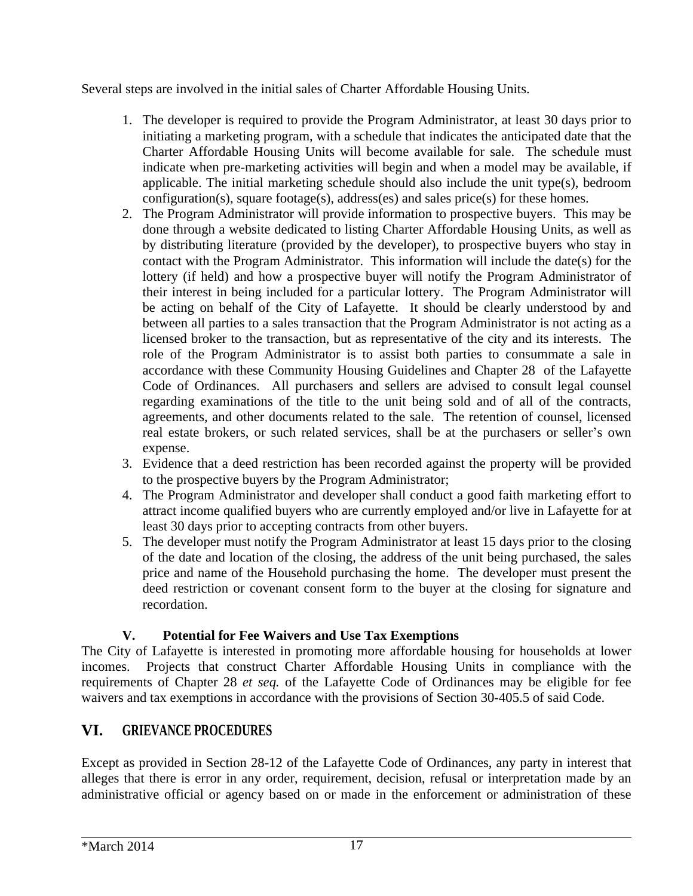Several steps are involved in the initial sales of Charter Affordable Housing Units.

- 1. The developer is required to provide the Program Administrator, at least 30 days prior to initiating a marketing program, with a schedule that indicates the anticipated date that the Charter Affordable Housing Units will become available for sale. The schedule must indicate when pre-marketing activities will begin and when a model may be available, if applicable. The initial marketing schedule should also include the unit type(s), bedroom configuration(s), square footage(s), address(es) and sales price(s) for these homes.
- 2. The Program Administrator will provide information to prospective buyers. This may be done through a website dedicated to listing Charter Affordable Housing Units, as well as by distributing literature (provided by the developer), to prospective buyers who stay in contact with the Program Administrator. This information will include the date(s) for the lottery (if held) and how a prospective buyer will notify the Program Administrator of their interest in being included for a particular lottery. The Program Administrator will be acting on behalf of the City of Lafayette. It should be clearly understood by and between all parties to a sales transaction that the Program Administrator is not acting as a licensed broker to the transaction, but as representative of the city and its interests. The role of the Program Administrator is to assist both parties to consummate a sale in accordance with these Community Housing Guidelines and Chapter 28 of the Lafayette Code of Ordinances. All purchasers and sellers are advised to consult legal counsel regarding examinations of the title to the unit being sold and of all of the contracts, agreements, and other documents related to the sale. The retention of counsel, licensed real estate brokers, or such related services, shall be at the purchasers or seller's own expense.
- 3. Evidence that a deed restriction has been recorded against the property will be provided to the prospective buyers by the Program Administrator;
- 4. The Program Administrator and developer shall conduct a good faith marketing effort to attract income qualified buyers who are currently employed and/or live in Lafayette for at least 30 days prior to accepting contracts from other buyers.
- 5. The developer must notify the Program Administrator at least 15 days prior to the closing of the date and location of the closing, the address of the unit being purchased, the sales price and name of the Household purchasing the home. The developer must present the deed restriction or covenant consent form to the buyer at the closing for signature and recordation.

# **V. Potential for Fee Waivers and Use Tax Exemptions**

The City of Lafayette is interested in promoting more affordable housing for households at lower incomes. Projects that construct Charter Affordable Housing Units in compliance with the requirements of Chapter 28 *et seq.* of the Lafayette Code of Ordinances may be eligible for fee waivers and tax exemptions in accordance with the provisions of Section 30-405.5 of said Code.

# **VI. GRIEVANCE PROCEDURES**

Except as provided in Section 28-12 of the Lafayette Code of Ordinances, any party in interest that alleges that there is error in any order, requirement, decision, refusal or interpretation made by an administrative official or agency based on or made in the enforcement or administration of these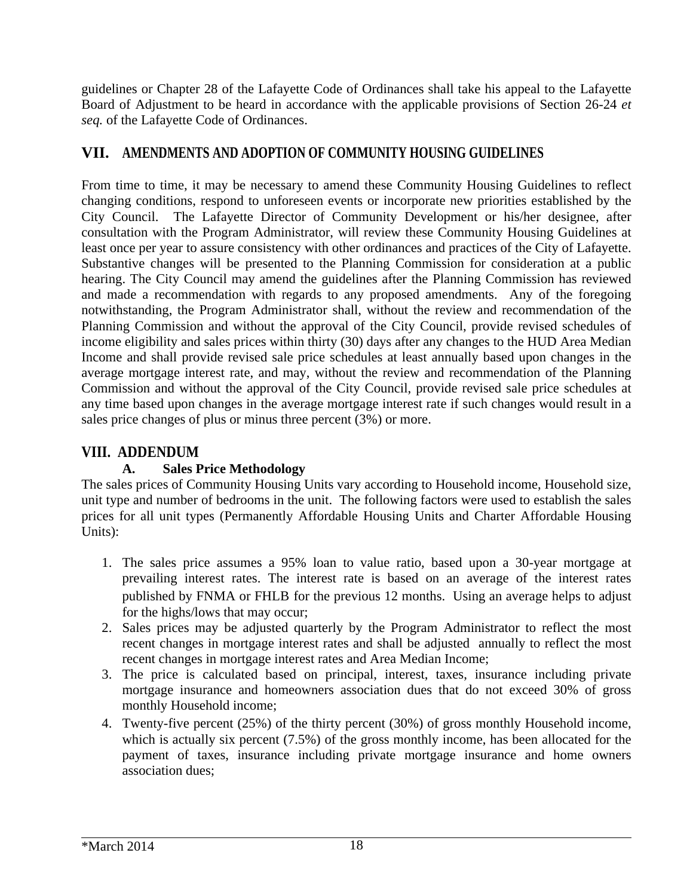guidelines or Chapter 28 of the Lafayette Code of Ordinances shall take his appeal to the Lafayette Board of Adjustment to be heard in accordance with the applicable provisions of Section 26-24 *et seq.* of the Lafayette Code of Ordinances.

# **VII. AMENDMENTS AND ADOPTION OF COMMUNITY HOUSING GUIDELINES**

From time to time, it may be necessary to amend these Community Housing Guidelines to reflect changing conditions, respond to unforeseen events or incorporate new priorities established by the City Council. The Lafayette Director of Community Development or his/her designee, after consultation with the Program Administrator, will review these Community Housing Guidelines at least once per year to assure consistency with other ordinances and practices of the City of Lafayette. Substantive changes will be presented to the Planning Commission for consideration at a public hearing. The City Council may amend the guidelines after the Planning Commission has reviewed and made a recommendation with regards to any proposed amendments. Any of the foregoing notwithstanding, the Program Administrator shall, without the review and recommendation of the Planning Commission and without the approval of the City Council, provide revised schedules of income eligibility and sales prices within thirty (30) days after any changes to the HUD Area Median Income and shall provide revised sale price schedules at least annually based upon changes in the average mortgage interest rate, and may, without the review and recommendation of the Planning Commission and without the approval of the City Council, provide revised sale price schedules at any time based upon changes in the average mortgage interest rate if such changes would result in a sales price changes of plus or minus three percent (3%) or more.

# **VIII. ADDENDUM**

### **A. Sales Price Methodology**

The sales prices of Community Housing Units vary according to Household income, Household size, unit type and number of bedrooms in the unit. The following factors were used to establish the sales prices for all unit types (Permanently Affordable Housing Units and Charter Affordable Housing Units):

- 1. The sales price assumes a 95% loan to value ratio, based upon a 30-year mortgage at prevailing interest rates. The interest rate is based on an average of the interest rates published by FNMA or FHLB for the previous 12 months. Using an average helps to adjust for the highs/lows that may occur;
- 2. Sales prices may be adjusted quarterly by the Program Administrator to reflect the most recent changes in mortgage interest rates and shall be adjusted annually to reflect the most recent changes in mortgage interest rates and Area Median Income;
- 3. The price is calculated based on principal, interest, taxes, insurance including private mortgage insurance and homeowners association dues that do not exceed 30% of gross monthly Household income;
- 4. Twenty-five percent (25%) of the thirty percent (30%) of gross monthly Household income, which is actually six percent (7.5%) of the gross monthly income, has been allocated for the payment of taxes, insurance including private mortgage insurance and home owners association dues;